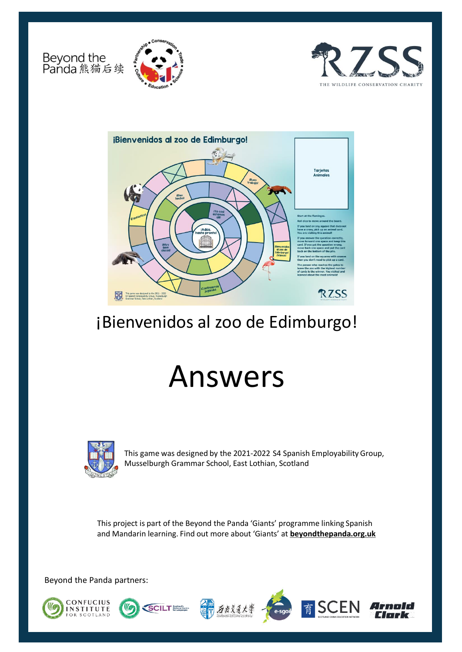Beyond the<br>Panda 熊猫后续







# ¡Bienvenidos al zoo de Edimburgo!

# Answers



This game was designed by the 2021-2022 S4 Spanish Employability Group, Musselburgh Grammar School, East Lothian, Scotland

This project is part of the Beyond the Panda 'Giants' programme linking Spanish and Mandarin learning. Find out more about 'Giants' at **[beyondthepanda.org.uk](https://learning.rzss.org.uk/course/view.php?id=21)** 

Beyond the Panda partners:









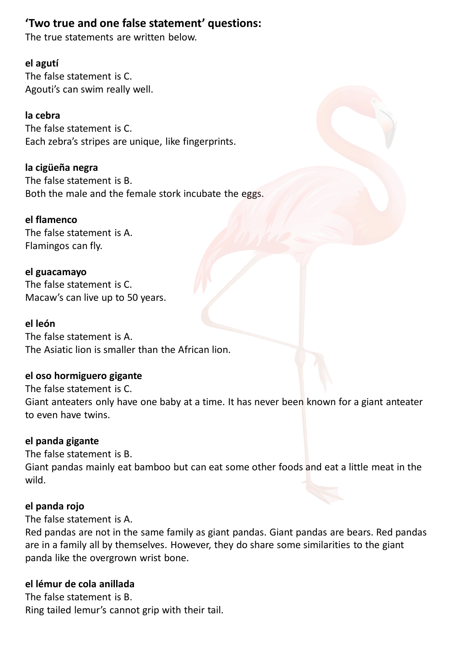# **'Two true and one false statement' questions:**

The true statements are written below.

# **el agutí**

The false statement is C. Agouti's can swim really well.

# **la cebra**

The false statement is C. Each zebra's stripes are unique, like fingerprints.

# **la cigüeña negra**

The false statement is B. Both the male and the female stork incubate the eggs.

# **el flamenco**

The false statement is A. Flamingos can fly.

**el guacamayo** The false statement is C. Macaw's can live up to 50 years.

### **el león**

The false statement is A. The Asiatic lion is smaller than the African lion.

# **el oso hormiguero gigante**

The false statement is C. Giant anteaters only have one baby at a time. It has never been known for a giant anteater to even have twins.

# **el panda gigante**

The false statement is B. Giant pandas mainly eat bamboo but can eat some other foods and eat a little meat in the wild.

# **el panda rojo**

The false statement is A.

Red pandas are not in the same family as giant pandas. Giant pandas are bears. Red pandas are in a family all by themselves. However, they do share some similarities to the giant panda like the overgrown wrist bone.

# **el lémur de cola anillada**

The false statement is B. Ring tailed lemur's cannot grip with their tail.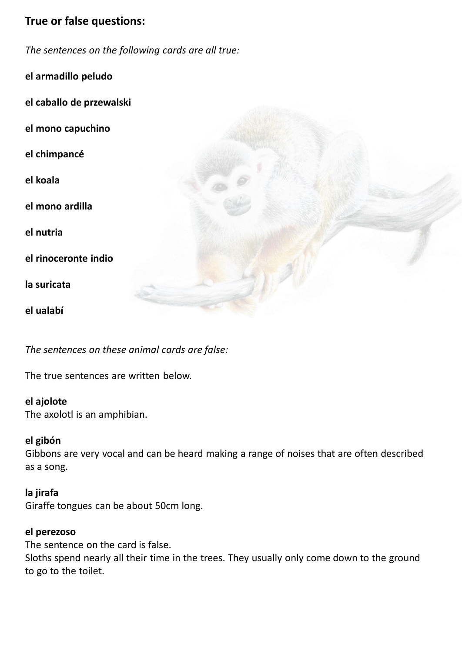# **True or false questions:**

*The sentences on the following cards are all true:*

**el armadillo peludo**

**el caballo de przewalski**

**el mono capuchino**

**el chimpancé**

**el koala**

**el mono ardilla**

**el nutria**

**el rinoceronte indio**

**la suricata**

**el ualabí**

*The sentences on these animal cards are false:* 

The true sentences are written below.

#### **el ajolote**

The axolotl is an amphibian.

#### **el gibón**

Gibbons are very vocal and can be heard making a range of noises that are often described as a song.

# **la jirafa** Giraffe tongues can be about 50cm long.

#### **el perezoso**

The sentence on the card is false.

Sloths spend nearly all their time in the trees. They usually only come down to the ground to go to the toilet.